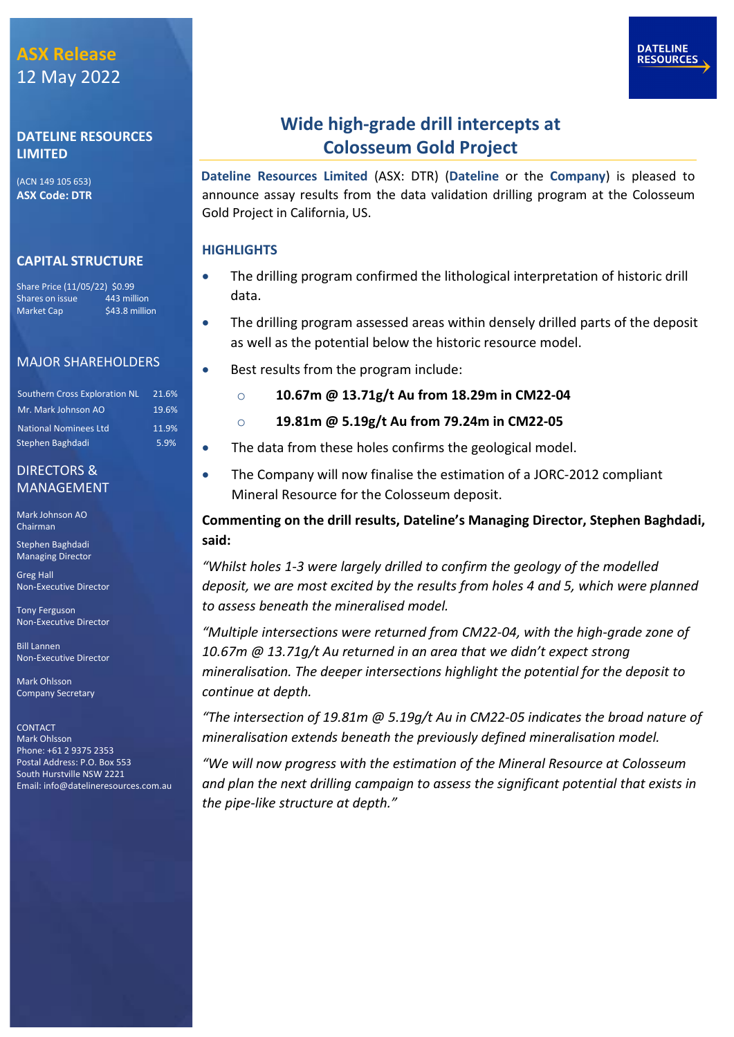#### **DATELINE RESOURCES LIMITED**

(ACN 149 105 653) **ASX Code: DTR**

#### **CAPITAL STRUCTURE**

Share Price (11/05/22) \$0.99<br>Shares on issue \_\_\_\_\_ 443 million Shares on issue Market Cap \$43.8 million

#### MAJOR SHAREHOLDERS

| <b>Southern Cross Exploration NL</b> | 21.6% |
|--------------------------------------|-------|
| Mr. Mark Johnson AO                  | 19.6% |
| <b>National Nominees Ltd</b>         | 11.9% |
| Stephen Baghdadi                     | 5.9%  |

#### DIRECTORS & MANAGEMENT

Mark Johnson AO Chairman

Stephen Baghdadi Managing Director

Greg Hall Non-Executive Director

Tony Ferguson Non-Executive Director

Bill Lannen Non-Executive Director

Mark Ohlsson Company Secretary

**CONTACT** Mark Ohlsson Phone: +61 2 9375 2353 Postal Address: P.O. Box 553 South Hurstville NSW 2221 Email[: info@datelineresources.com.au](mailto:info@datelineresources.com.au)

### **Wide high-grade drill intercepts at Colosseum Gold Project**

**Dateline Resources Limited** (ASX: DTR) (**Dateline** or the **Company**) is pleased to announce assay results from the data validation drilling program at the Colosseum Gold Project in California, US.

#### **HIGHLIGHTS**

- The drilling program confirmed the lithological interpretation of historic drill data.
- The drilling program assessed areas within densely drilled parts of the deposit as well as the potential below the historic resource model.
- Best results from the program include:
	- o **10.67m @ 13.71g/t Au from 18.29m in CM22-04**
	- o **19.81m @ 5.19g/t Au from 79.24m in CM22-05**
- The data from these holes confirms the geological model.
- The Company will now finalise the estimation of a JORC-2012 compliant Mineral Resource for the Colosseum deposit.

**Commenting on the drill results, Dateline's Managing Director, Stephen Baghdadi, said:**

*"Whilst holes 1-3 were largely drilled to confirm the geology of the modelled deposit, we are most excited by the results from holes 4 and 5, which were planned to assess beneath the mineralised model.*

*"Multiple intersections were returned from CM22-04, with the high-grade zone of 10.67m @ 13.71g/t Au returned in an area that we didn't expect strong mineralisation. The deeper intersections highlight the potential for the deposit to continue at depth.* 

*"The intersection of 19.81m @ 5.19g/t Au in CM22-05 indicates the broad nature of mineralisation extends beneath the previously defined mineralisation model.* 

*"We will now progress with the estimation of the Mineral Resource at Colosseum and plan the next drilling campaign to assess the significant potential that exists in the pipe-like structure at depth."*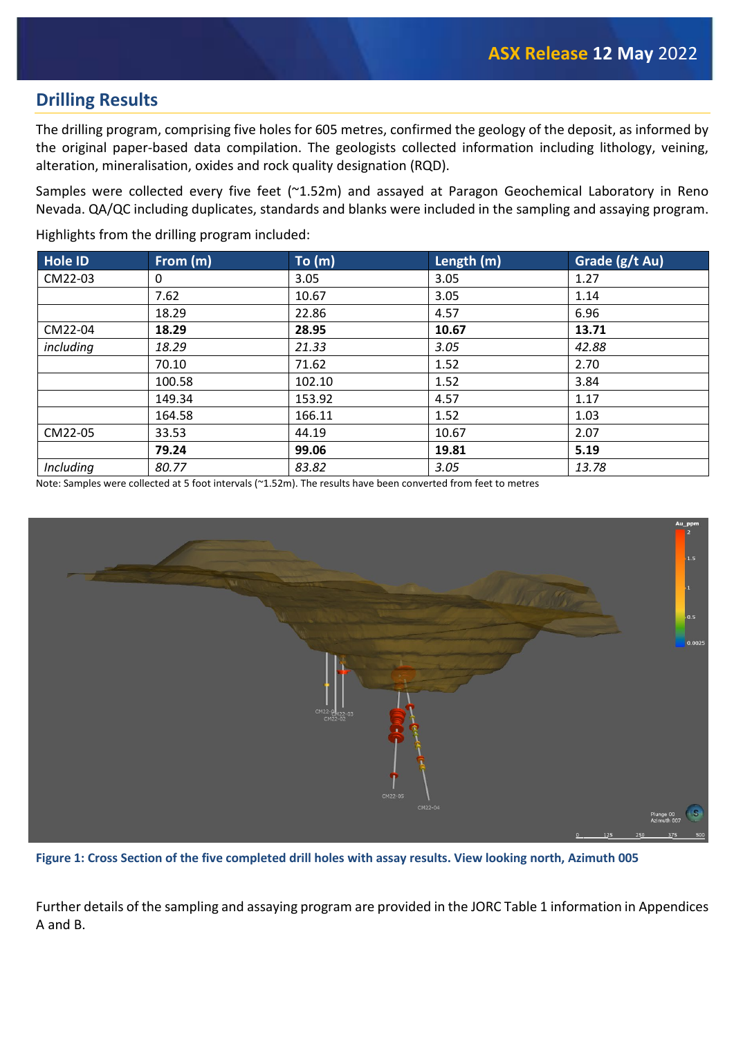### **Drilling Results**

The drilling program, comprising five holes for 605 metres, confirmed the geology of the deposit, as informed by the original paper-based data compilation. The geologists collected information including lithology, veining, alteration, mineralisation, oxides and rock quality designation (RQD).

Samples were collected every five feet (~1.52m) and assayed at Paragon Geochemical Laboratory in Reno Nevada. QA/QC including duplicates, standards and blanks were included in the sampling and assaying program.

Highlights from the drilling program included:

| <b>Hole ID</b> | From $(m)$ | To (m) | Length (m) | Grade (g/t Au) |
|----------------|------------|--------|------------|----------------|
| CM22-03        | 0          | 3.05   | 3.05       | 1.27           |
|                | 7.62       | 10.67  | 3.05       | 1.14           |
|                | 18.29      | 22.86  | 4.57       | 6.96           |
| CM22-04        | 18.29      | 28.95  | 10.67      | 13.71          |
| including      | 18.29      | 21.33  | 3.05       | 42.88          |
|                | 70.10      | 71.62  | 1.52       | 2.70           |
|                | 100.58     | 102.10 | 1.52       | 3.84           |
|                | 149.34     | 153.92 | 4.57       | 1.17           |
|                | 164.58     | 166.11 | 1.52       | 1.03           |
| CM22-05        | 33.53      | 44.19  | 10.67      | 2.07           |
|                | 79.24      | 99.06  | 19.81      | 5.19           |
| Including      | 80.77      | 83.82  | 3.05       | 13.78          |

Note: Samples were collected at 5 foot intervals (~1.52m). The results have been converted from feet to metres



**Figure 1: Cross Section of the five completed drill holes with assay results. View looking north, Azimuth 005** 

Further details of the sampling and assaying program are provided in the JORC Table 1 information in Appendices A and B.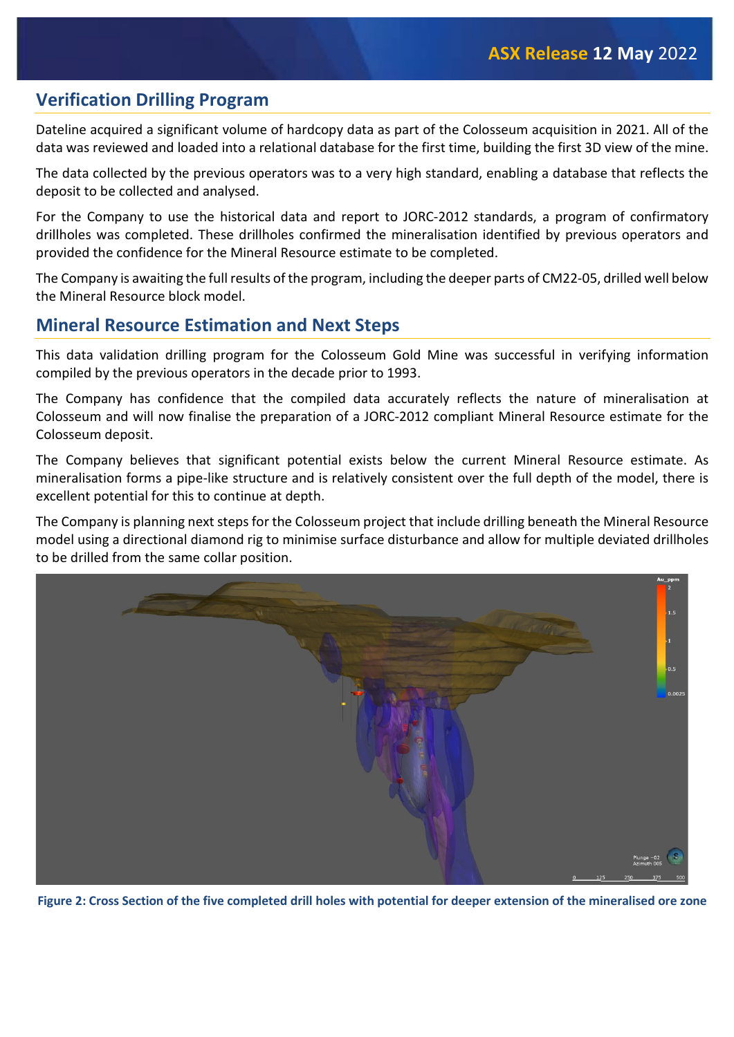### **Verification Drilling Program**

Dateline acquired a significant volume of hardcopy data as part of the Colosseum acquisition in 2021. All of the data was reviewed and loaded into a relational database for the first time, building the first 3D view of the mine.

The data collected by the previous operators was to a very high standard, enabling a database that reflects the deposit to be collected and analysed.

For the Company to use the historical data and report to JORC-2012 standards, a program of confirmatory drillholes was completed. These drillholes confirmed the mineralisation identified by previous operators and provided the confidence for the Mineral Resource estimate to be completed.

The Company is awaiting the full results of the program, including the deeper parts of CM22-05, drilled well below the Mineral Resource block model.

### **Mineral Resource Estimation and Next Steps**

This data validation drilling program for the Colosseum Gold Mine was successful in verifying information compiled by the previous operators in the decade prior to 1993.

The Company has confidence that the compiled data accurately reflects the nature of mineralisation at Colosseum and will now finalise the preparation of a JORC-2012 compliant Mineral Resource estimate for the Colosseum deposit.

The Company believes that significant potential exists below the current Mineral Resource estimate. As mineralisation forms a pipe-like structure and is relatively consistent over the full depth of the model, there is excellent potential for this to continue at depth.

The Company is planning next steps for the Colosseum project that include drilling beneath the Mineral Resource model using a directional diamond rig to minimise surface disturbance and allow for multiple deviated drillholes to be drilled from the same collar position.



 **Figure 2: Cross Section of the five completed drill holes with potential for deeper extension of the mineralised ore zone**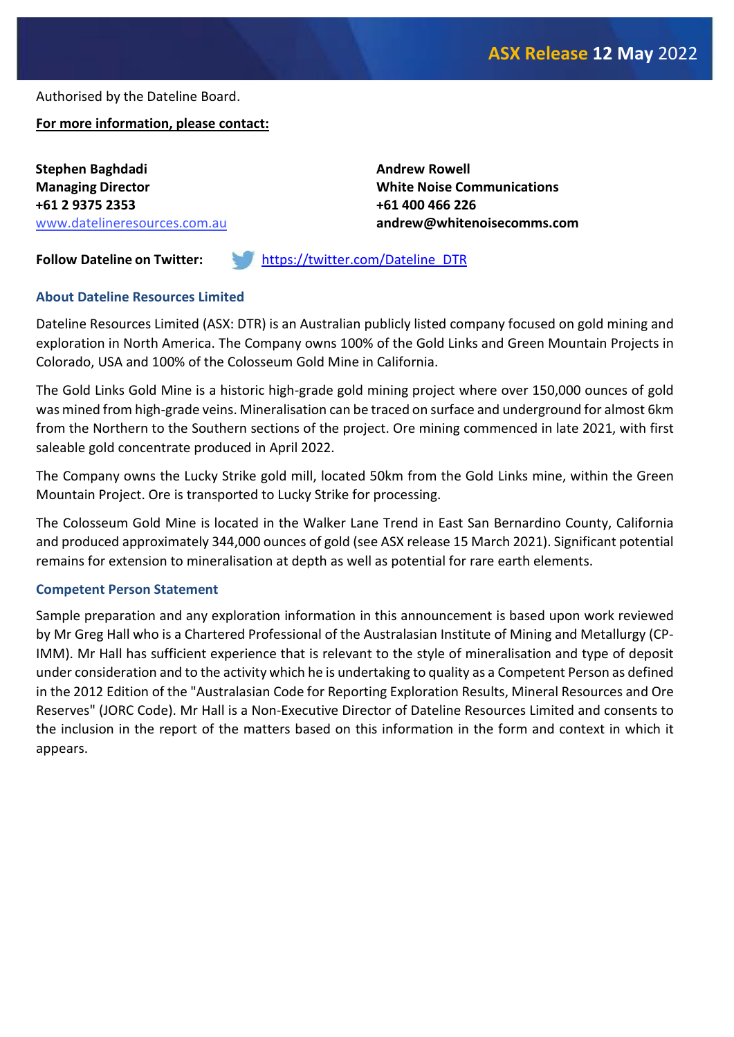Authorised by the Dateline Board.

**For more information, please contact:**

**Stephen Baghdadi Managing Director +61 2 9375 2353** www.datelineresources.com.au **Andrew Rowell White Noise Communications +61 400 466 226 andrew@whitenoisecomms.com**

**Follow Dateline on Twitter:** [https://twitter.com/Dateline\\_DTR](https://twitter.com/Dateline_DTR)

#### **About Dateline Resources Limited**

Dateline Resources Limited (ASX: DTR) is an Australian publicly listed company focused on gold mining and exploration in North America. The Company owns 100% of the Gold Links and Green Mountain Projects in Colorado, USA and 100% of the Colosseum Gold Mine in California.

The Gold Links Gold Mine is a historic high-grade gold mining project where over 150,000 ounces of gold was mined from high-grade veins. Mineralisation can be traced on surface and underground for almost 6km from the Northern to the Southern sections of the project. Ore mining commenced in late 2021, with first saleable gold concentrate produced in April 2022.

The Company owns the Lucky Strike gold mill, located 50km from the Gold Links mine, within the Green Mountain Project. Ore is transported to Lucky Strike for processing.

The Colosseum Gold Mine is located in the Walker Lane Trend in East San Bernardino County, California and produced approximately 344,000 ounces of gold (see ASX release 15 March 2021). Significant potential remains for extension to mineralisation at depth as well as potential for rare earth elements.

#### **Competent Person Statement**

Sample preparation and any exploration information in this announcement is based upon work reviewed by Mr Greg Hall who is a Chartered Professional of the Australasian Institute of Mining and Metallurgy (CP-IMM). Mr Hall has sufficient experience that is relevant to the style of mineralisation and type of deposit under consideration and to the activity which he is undertaking to quality as a Competent Person as defined in the 2012 Edition of the "Australasian Code for Reporting Exploration Results, Mineral Resources and Ore Reserves" (JORC Code). Mr Hall is a Non-Executive Director of Dateline Resources Limited and consents to the inclusion in the report of the matters based on this information in the form and context in which it appears.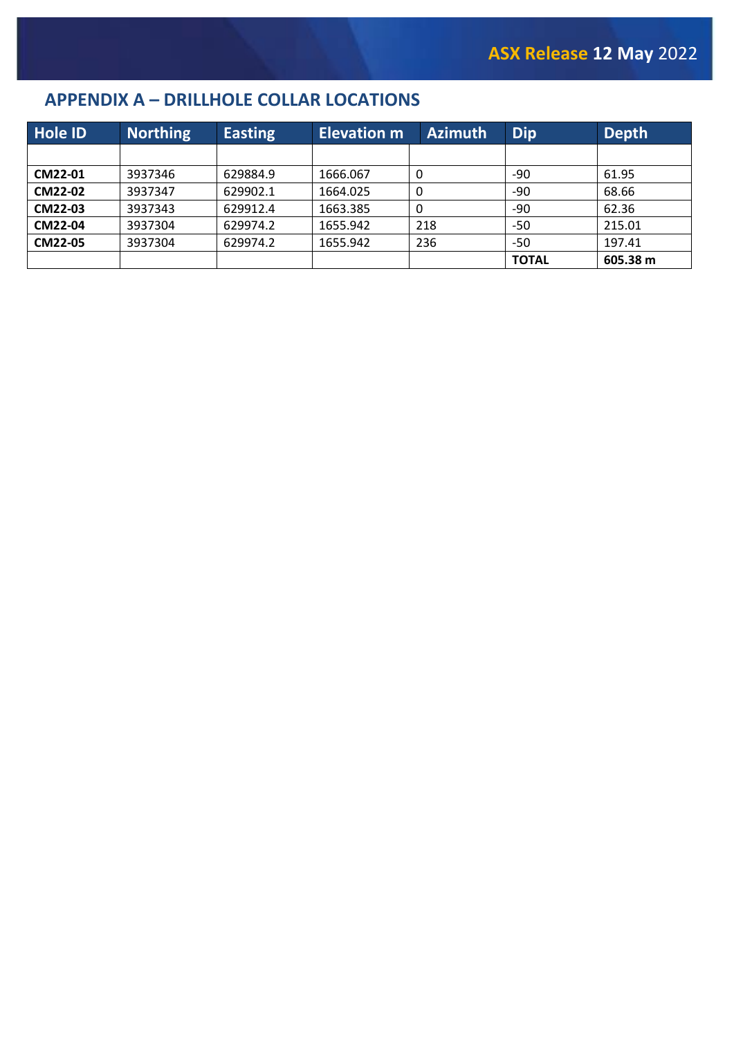## **APPENDIX A – DRILLHOLE COLLAR LOCATIONS**

| Hole ID | <b>Northing</b> | <b>Easting</b> | <b>Elevation m</b> | <b>Azimuth</b> | <b>Dip</b>   | Depth    |
|---------|-----------------|----------------|--------------------|----------------|--------------|----------|
|         |                 |                |                    |                |              |          |
| CM22-01 | 3937346         | 629884.9       | 1666.067           | -0             | -90          | 61.95    |
| CM22-02 | 3937347         | 629902.1       | 1664.025           | 0              | $-90$        | 68.66    |
| CM22-03 | 3937343         | 629912.4       | 1663.385           | 0              | -90          | 62.36    |
| CM22-04 | 3937304         | 629974.2       | 1655.942           | 218            | -50          | 215.01   |
| CM22-05 | 3937304         | 629974.2       | 1655.942           | 236            | -50          | 197.41   |
|         |                 |                |                    |                | <b>TOTAL</b> | 605.38 m |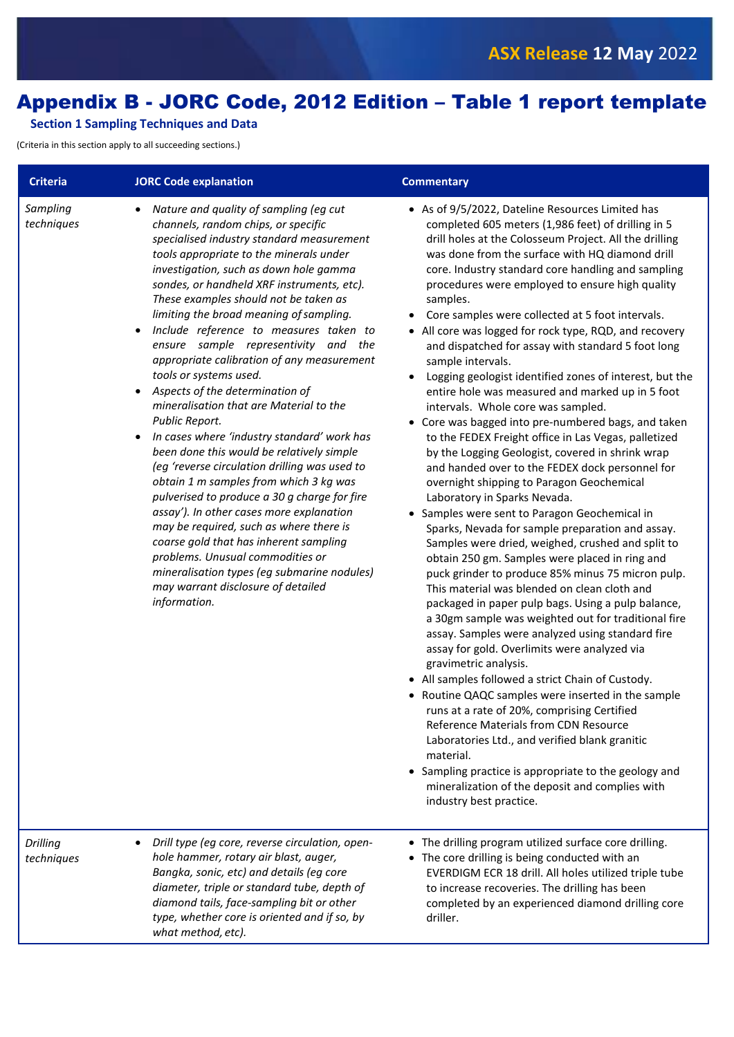# Appendix B - JORC Code, 2012 Edition – Table 1 report template

#### **Section 1 Sampling Techniques and Data**

(Criteria in this section apply to all succeeding sections.)

| <b>Criteria</b>        | <b>JORC Code explanation</b>                                                                                                                                                                                                                                                                                                                                                                                                                                                                                                                                                                                                                                                                                                                                                                                                                                                                                                                                                                                                                                                                                                              | <b>Commentary</b>                                                                                                                                                                                                                                                                                                                                                                                                                                                                                                                                                                                                                                                                                                                                                                                                                                                                                                                                                                                                                                                                                                                                                                                                                                                                                                                                                                                                                                                                                                                                                                                                                                                                                                                                                                                                                                                                                                                                             |
|------------------------|-------------------------------------------------------------------------------------------------------------------------------------------------------------------------------------------------------------------------------------------------------------------------------------------------------------------------------------------------------------------------------------------------------------------------------------------------------------------------------------------------------------------------------------------------------------------------------------------------------------------------------------------------------------------------------------------------------------------------------------------------------------------------------------------------------------------------------------------------------------------------------------------------------------------------------------------------------------------------------------------------------------------------------------------------------------------------------------------------------------------------------------------|---------------------------------------------------------------------------------------------------------------------------------------------------------------------------------------------------------------------------------------------------------------------------------------------------------------------------------------------------------------------------------------------------------------------------------------------------------------------------------------------------------------------------------------------------------------------------------------------------------------------------------------------------------------------------------------------------------------------------------------------------------------------------------------------------------------------------------------------------------------------------------------------------------------------------------------------------------------------------------------------------------------------------------------------------------------------------------------------------------------------------------------------------------------------------------------------------------------------------------------------------------------------------------------------------------------------------------------------------------------------------------------------------------------------------------------------------------------------------------------------------------------------------------------------------------------------------------------------------------------------------------------------------------------------------------------------------------------------------------------------------------------------------------------------------------------------------------------------------------------------------------------------------------------------------------------------------------------|
| Sampling<br>techniques | Nature and quality of sampling (eg cut<br>$\bullet$<br>channels, random chips, or specific<br>specialised industry standard measurement<br>tools appropriate to the minerals under<br>investigation, such as down hole gamma<br>sondes, or handheld XRF instruments, etc).<br>These examples should not be taken as<br>limiting the broad meaning of sampling.<br>Include reference to measures taken to<br>ensure sample representivity and the<br>appropriate calibration of any measurement<br>tools or systems used.<br>Aspects of the determination of<br>mineralisation that are Material to the<br>Public Report.<br>In cases where 'industry standard' work has<br>been done this would be relatively simple<br>(eg 'reverse circulation drilling was used to<br>obtain 1 m samples from which 3 kg was<br>pulverised to produce a 30 g charge for fire<br>assay'). In other cases more explanation<br>may be required, such as where there is<br>coarse gold that has inherent sampling<br>problems. Unusual commodities or<br>mineralisation types (eg submarine nodules)<br>may warrant disclosure of detailed<br>information. | • As of 9/5/2022, Dateline Resources Limited has<br>completed 605 meters (1,986 feet) of drilling in 5<br>drill holes at the Colosseum Project. All the drilling<br>was done from the surface with HQ diamond drill<br>core. Industry standard core handling and sampling<br>procedures were employed to ensure high quality<br>samples.<br>Core samples were collected at 5 foot intervals.<br>• All core was logged for rock type, RQD, and recovery<br>and dispatched for assay with standard 5 foot long<br>sample intervals.<br>Logging geologist identified zones of interest, but the<br>entire hole was measured and marked up in 5 foot<br>intervals. Whole core was sampled.<br>• Core was bagged into pre-numbered bags, and taken<br>to the FEDEX Freight office in Las Vegas, palletized<br>by the Logging Geologist, covered in shrink wrap<br>and handed over to the FEDEX dock personnel for<br>overnight shipping to Paragon Geochemical<br>Laboratory in Sparks Nevada.<br>• Samples were sent to Paragon Geochemical in<br>Sparks, Nevada for sample preparation and assay.<br>Samples were dried, weighed, crushed and split to<br>obtain 250 gm. Samples were placed in ring and<br>puck grinder to produce 85% minus 75 micron pulp.<br>This material was blended on clean cloth and<br>packaged in paper pulp bags. Using a pulp balance,<br>a 30gm sample was weighted out for traditional fire<br>assay. Samples were analyzed using standard fire<br>assay for gold. Overlimits were analyzed via<br>gravimetric analysis.<br>• All samples followed a strict Chain of Custody.<br>• Routine QAQC samples were inserted in the sample<br>runs at a rate of 20%, comprising Certified<br>Reference Materials from CDN Resource<br>Laboratories Ltd., and verified blank granitic<br>material.<br>• Sampling practice is appropriate to the geology and<br>mineralization of the deposit and complies with<br>industry best practice. |
| Drilling<br>techniques | Drill type (eg core, reverse circulation, open-<br>hole hammer, rotary air blast, auger,<br>Bangka, sonic, etc) and details (eg core<br>diameter, triple or standard tube, depth of<br>diamond tails, face-sampling bit or other<br>type, whether core is oriented and if so, by<br>what method, etc).                                                                                                                                                                                                                                                                                                                                                                                                                                                                                                                                                                                                                                                                                                                                                                                                                                    | • The drilling program utilized surface core drilling.<br>• The core drilling is being conducted with an<br>EVERDIGM ECR 18 drill. All holes utilized triple tube<br>to increase recoveries. The drilling has been<br>completed by an experienced diamond drilling core<br>driller.                                                                                                                                                                                                                                                                                                                                                                                                                                                                                                                                                                                                                                                                                                                                                                                                                                                                                                                                                                                                                                                                                                                                                                                                                                                                                                                                                                                                                                                                                                                                                                                                                                                                           |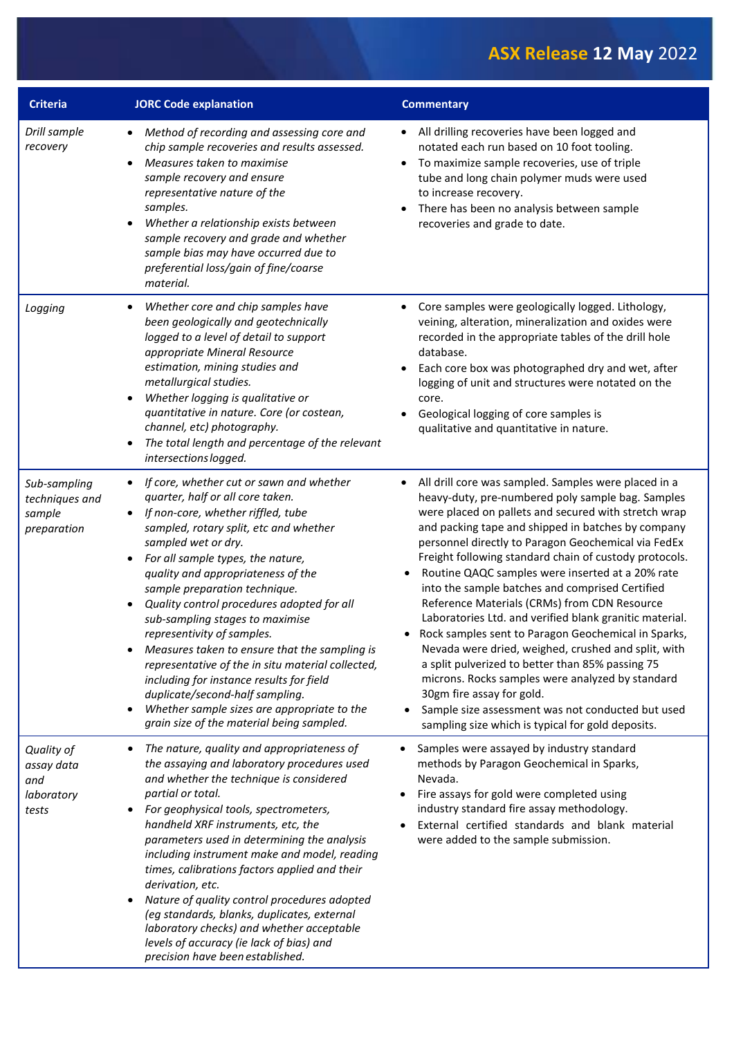| <b>Criteria</b>                                         | <b>JORC Code explanation</b>                                                                                                                                                                                                                                                                                                                                                                                                                                                                                                                                                                                                                                                                                                                        | <b>Commentary</b>                                                                                                                                                                                                                                                                                                                                                                                                                                                                                                                                                                                                                                                                                                                                                                                                                                                                                                                                 |
|---------------------------------------------------------|-----------------------------------------------------------------------------------------------------------------------------------------------------------------------------------------------------------------------------------------------------------------------------------------------------------------------------------------------------------------------------------------------------------------------------------------------------------------------------------------------------------------------------------------------------------------------------------------------------------------------------------------------------------------------------------------------------------------------------------------------------|---------------------------------------------------------------------------------------------------------------------------------------------------------------------------------------------------------------------------------------------------------------------------------------------------------------------------------------------------------------------------------------------------------------------------------------------------------------------------------------------------------------------------------------------------------------------------------------------------------------------------------------------------------------------------------------------------------------------------------------------------------------------------------------------------------------------------------------------------------------------------------------------------------------------------------------------------|
| Drill sample<br>recovery                                | Method of recording and assessing core and<br>$\bullet$<br>chip sample recoveries and results assessed.<br>Measures taken to maximise<br>$\bullet$<br>sample recovery and ensure<br>representative nature of the<br>samples.<br>Whether a relationship exists between<br>$\bullet$<br>sample recovery and grade and whether<br>sample bias may have occurred due to<br>preferential loss/gain of fine/coarse<br>material.                                                                                                                                                                                                                                                                                                                           | All drilling recoveries have been logged and<br>$\bullet$<br>notated each run based on 10 foot tooling.<br>To maximize sample recoveries, use of triple<br>tube and long chain polymer muds were used<br>to increase recovery.<br>There has been no analysis between sample<br>recoveries and grade to date.                                                                                                                                                                                                                                                                                                                                                                                                                                                                                                                                                                                                                                      |
| Logging                                                 | Whether core and chip samples have<br>$\bullet$<br>been geologically and geotechnically<br>logged to a level of detail to support<br>appropriate Mineral Resource<br>estimation, mining studies and<br>metallurgical studies.<br>Whether logging is qualitative or<br>$\bullet$<br>quantitative in nature. Core (or costean,<br>channel, etc) photography.<br>The total length and percentage of the relevant<br>intersections logged.                                                                                                                                                                                                                                                                                                              | Core samples were geologically logged. Lithology,<br>$\bullet$<br>veining, alteration, mineralization and oxides were<br>recorded in the appropriate tables of the drill hole<br>database.<br>Each core box was photographed dry and wet, after<br>$\bullet$<br>logging of unit and structures were notated on the<br>core.<br>Geological logging of core samples is<br>qualitative and quantitative in nature.                                                                                                                                                                                                                                                                                                                                                                                                                                                                                                                                   |
| Sub-sampling<br>techniques and<br>sample<br>preparation | If core, whether cut or sawn and whether<br>quarter, half or all core taken.<br>If non-core, whether riffled, tube<br>$\bullet$<br>sampled, rotary split, etc and whether<br>sampled wet or dry.<br>For all sample types, the nature,<br>$\bullet$<br>quality and appropriateness of the<br>sample preparation technique.<br>Quality control procedures adopted for all<br>$\bullet$<br>sub-sampling stages to maximise<br>representivity of samples.<br>Measures taken to ensure that the sampling is<br>representative of the in situ material collected,<br>including for instance results for field<br>duplicate/second-half sampling.<br>Whether sample sizes are appropriate to the<br>$\bullet$<br>grain size of the material being sampled. | All drill core was sampled. Samples were placed in a<br>heavy-duty, pre-numbered poly sample bag. Samples<br>were placed on pallets and secured with stretch wrap<br>and packing tape and shipped in batches by company<br>personnel directly to Paragon Geochemical via FedEx<br>Freight following standard chain of custody protocols.<br>Routine QAQC samples were inserted at a 20% rate<br>$\bullet$<br>into the sample batches and comprised Certified<br>Reference Materials (CRMs) from CDN Resource<br>Laboratories Ltd. and verified blank granitic material.<br>Rock samples sent to Paragon Geochemical in Sparks,<br>$\bullet$<br>Nevada were dried, weighed, crushed and split, with<br>a split pulverized to better than 85% passing 75<br>microns. Rocks samples were analyzed by standard<br>30gm fire assay for gold.<br>Sample size assessment was not conducted but used<br>sampling size which is typical for gold deposits. |
| Quality of<br>assay data<br>and<br>laboratory<br>tests  | The nature, quality and appropriateness of<br>the assaying and laboratory procedures used<br>and whether the technique is considered<br>partial or total.<br>For geophysical tools, spectrometers,<br>handheld XRF instruments, etc, the<br>parameters used in determining the analysis<br>including instrument make and model, reading<br>times, calibrations factors applied and their<br>derivation, etc.<br>Nature of quality control procedures adopted<br>$\bullet$<br>(eg standards, blanks, duplicates, external<br>laboratory checks) and whether acceptable<br>levels of accuracy (ie lack of bias) and<br>precision have been established.                                                                                               | Samples were assayed by industry standard<br>methods by Paragon Geochemical in Sparks,<br>Nevada.<br>Fire assays for gold were completed using<br>industry standard fire assay methodology.<br>External certified standards and blank material<br>were added to the sample submission.                                                                                                                                                                                                                                                                                                                                                                                                                                                                                                                                                                                                                                                            |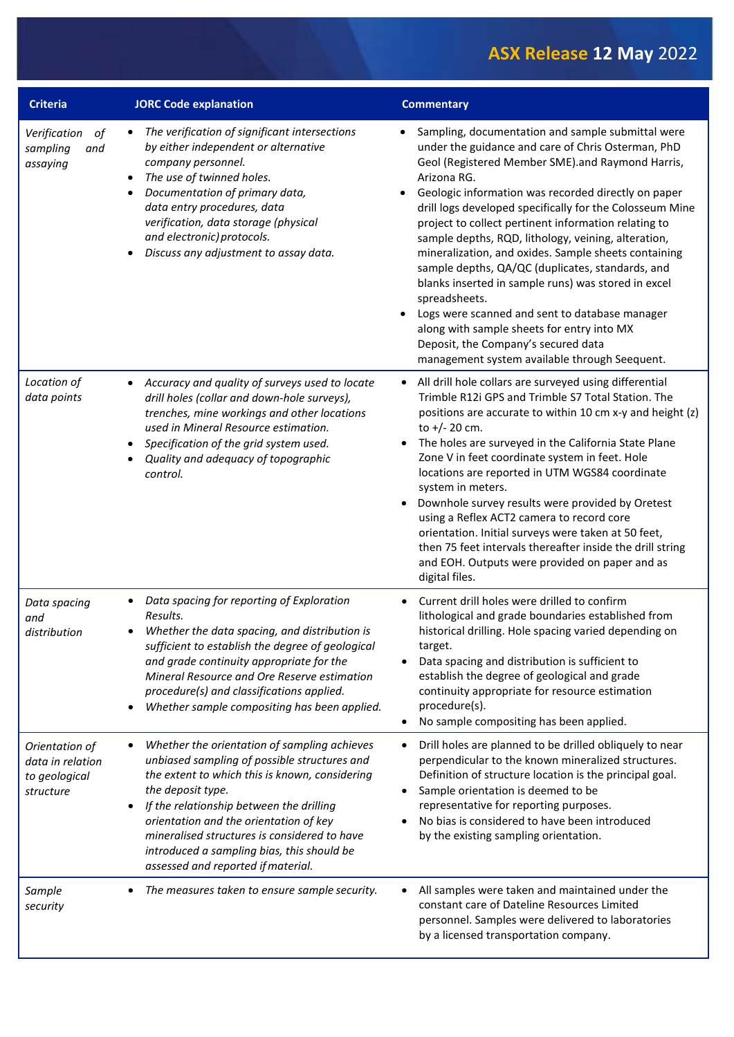| <b>Criteria</b>                                                  | <b>JORC Code explanation</b>                                                                                                                                                                                                                                                                                                                                                                  | <b>Commentary</b>                                                                                                                                                                                                                                                                                                                                                                                                                                                                                                                                                                                                                                                                                                                                                                        |
|------------------------------------------------------------------|-----------------------------------------------------------------------------------------------------------------------------------------------------------------------------------------------------------------------------------------------------------------------------------------------------------------------------------------------------------------------------------------------|------------------------------------------------------------------------------------------------------------------------------------------------------------------------------------------------------------------------------------------------------------------------------------------------------------------------------------------------------------------------------------------------------------------------------------------------------------------------------------------------------------------------------------------------------------------------------------------------------------------------------------------------------------------------------------------------------------------------------------------------------------------------------------------|
| of<br>Verification<br>and<br>sampling<br>assaying                | The verification of significant intersections<br>$\bullet$<br>by either independent or alternative<br>company personnel.<br>The use of twinned holes.<br>$\bullet$<br>Documentation of primary data,<br>$\bullet$<br>data entry procedures, data<br>verification, data storage (physical<br>and electronic) protocols.<br>Discuss any adjustment to assay data.                               | Sampling, documentation and sample submittal were<br>under the guidance and care of Chris Osterman, PhD<br>Geol (Registered Member SME).and Raymond Harris,<br>Arizona RG.<br>Geologic information was recorded directly on paper<br>drill logs developed specifically for the Colosseum Mine<br>project to collect pertinent information relating to<br>sample depths, RQD, lithology, veining, alteration,<br>mineralization, and oxides. Sample sheets containing<br>sample depths, QA/QC (duplicates, standards, and<br>blanks inserted in sample runs) was stored in excel<br>spreadsheets.<br>Logs were scanned and sent to database manager<br>along with sample sheets for entry into MX<br>Deposit, the Company's secured data<br>management system available through Seequent. |
| Location of<br>data points                                       | Accuracy and quality of surveys used to locate<br>$\bullet$<br>drill holes (collar and down-hole surveys),<br>trenches, mine workings and other locations<br>used in Mineral Resource estimation.<br>Specification of the grid system used.<br>Quality and adequacy of topographic<br>control.                                                                                                | All drill hole collars are surveyed using differential<br>$\bullet$<br>Trimble R12i GPS and Trimble S7 Total Station. The<br>positions are accurate to within 10 cm x-y and height (z)<br>to $+/- 20$ cm.<br>The holes are surveyed in the California State Plane<br>Zone V in feet coordinate system in feet. Hole<br>locations are reported in UTM WGS84 coordinate<br>system in meters.<br>Downhole survey results were provided by Oretest<br>using a Reflex ACT2 camera to record core<br>orientation. Initial surveys were taken at 50 feet,<br>then 75 feet intervals thereafter inside the drill string<br>and EOH. Outputs were provided on paper and as<br>digital files.                                                                                                      |
| Data spacing<br>and<br>distribution                              | Data spacing for reporting of Exploration<br>٠<br>Results.<br>Whether the data spacing, and distribution is<br>sufficient to establish the degree of geological<br>and grade continuity appropriate for the<br>Mineral Resource and Ore Reserve estimation<br>procedure(s) and classifications applied.<br>Whether sample compositing has been applied.                                       | Current drill holes were drilled to confirm<br>$\bullet$<br>lithological and grade boundaries established from<br>historical drilling. Hole spacing varied depending on<br>target.<br>Data spacing and distribution is sufficient to<br>establish the degree of geological and grade<br>continuity appropriate for resource estimation<br>procedure(s).<br>No sample compositing has been applied.<br>$\bullet$                                                                                                                                                                                                                                                                                                                                                                          |
| Orientation of<br>data in relation<br>to geological<br>structure | Whether the orientation of sampling achieves<br>unbiased sampling of possible structures and<br>the extent to which this is known, considering<br>the deposit type.<br>If the relationship between the drilling<br>orientation and the orientation of key<br>mineralised structures is considered to have<br>introduced a sampling bias, this should be<br>assessed and reported if material. | Drill holes are planned to be drilled obliquely to near<br>$\bullet$<br>perpendicular to the known mineralized structures.<br>Definition of structure location is the principal goal.<br>Sample orientation is deemed to be<br>$\bullet$<br>representative for reporting purposes.<br>No bias is considered to have been introduced<br>by the existing sampling orientation.                                                                                                                                                                                                                                                                                                                                                                                                             |
| Sample<br>security                                               | The measures taken to ensure sample security.                                                                                                                                                                                                                                                                                                                                                 | All samples were taken and maintained under the<br>constant care of Dateline Resources Limited<br>personnel. Samples were delivered to laboratories<br>by a licensed transportation company.                                                                                                                                                                                                                                                                                                                                                                                                                                                                                                                                                                                             |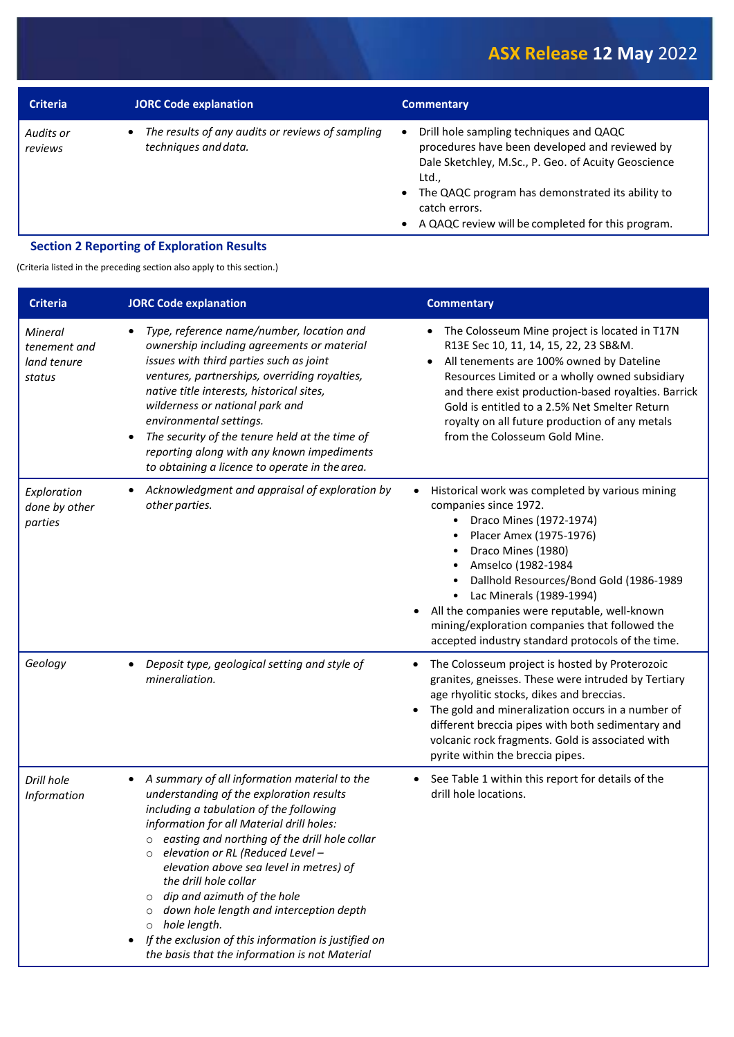| <b>Criteria</b>      | <b>JORC Code explanation</b>                                             | <b>Commentary</b>                                                                                                                                                                                                                                                                                               |
|----------------------|--------------------------------------------------------------------------|-----------------------------------------------------------------------------------------------------------------------------------------------------------------------------------------------------------------------------------------------------------------------------------------------------------------|
| Audits or<br>reviews | The results of any audits or reviews of sampling<br>techniques and data. | Drill hole sampling techniques and QAQC<br>$\bullet$<br>procedures have been developed and reviewed by<br>Dale Sketchley, M.Sc., P. Geo. of Acuity Geoscience<br>Ltd.,<br>• The QAQC program has demonstrated its ability to<br>catch errors.<br>A QAQC review will be completed for this program.<br>$\bullet$ |
|                      | <b>Section 2 Reporting of Exploration Results</b>                        |                                                                                                                                                                                                                                                                                                                 |

(Criteria listed in the preceding section also apply to this section.)

| <b>Criteria</b>                                  | <b>JORC Code explanation</b>                                                                                                                                                                                                                                                                                                                                                                                                                                                                                                                                                          | <b>Commentary</b>                                                                                                                                                                                                                                                                                                                                                                                                                                                      |
|--------------------------------------------------|---------------------------------------------------------------------------------------------------------------------------------------------------------------------------------------------------------------------------------------------------------------------------------------------------------------------------------------------------------------------------------------------------------------------------------------------------------------------------------------------------------------------------------------------------------------------------------------|------------------------------------------------------------------------------------------------------------------------------------------------------------------------------------------------------------------------------------------------------------------------------------------------------------------------------------------------------------------------------------------------------------------------------------------------------------------------|
| Mineral<br>tenement and<br>land tenure<br>status | Type, reference name/number, location and<br>$\bullet$<br>ownership including agreements or material<br>issues with third parties such as joint<br>ventures, partnerships, overriding royalties,<br>native title interests, historical sites,<br>wilderness or national park and<br>environmental settings.<br>The security of the tenure held at the time of<br>reporting along with any known impediments<br>to obtaining a licence to operate in the area.                                                                                                                         | The Colosseum Mine project is located in T17N<br>R13E Sec 10, 11, 14, 15, 22, 23 SB&M.<br>All tenements are 100% owned by Dateline<br>$\bullet$<br>Resources Limited or a wholly owned subsidiary<br>and there exist production-based royalties. Barrick<br>Gold is entitled to a 2.5% Net Smelter Return<br>royalty on all future production of any metals<br>from the Colosseum Gold Mine.                                                                           |
| Exploration<br>done by other<br>parties          | Acknowledgment and appraisal of exploration by<br>$\bullet$<br>other parties.                                                                                                                                                                                                                                                                                                                                                                                                                                                                                                         | Historical work was completed by various mining<br>$\bullet$<br>companies since 1972.<br>Draco Mines (1972-1974)<br>Placer Amex (1975-1976)<br>٠<br>Draco Mines (1980)<br>$\bullet$<br>Amselco (1982-1984<br>$\bullet$<br>Dallhold Resources/Bond Gold (1986-1989<br>$\bullet$<br>Lac Minerals (1989-1994)<br>٠<br>All the companies were reputable, well-known<br>mining/exploration companies that followed the<br>accepted industry standard protocols of the time. |
| Geology                                          | Deposit type, geological setting and style of<br>$\bullet$<br>mineraliation.                                                                                                                                                                                                                                                                                                                                                                                                                                                                                                          | The Colosseum project is hosted by Proterozoic<br>$\bullet$<br>granites, gneisses. These were intruded by Tertiary<br>age rhyolitic stocks, dikes and breccias.<br>The gold and mineralization occurs in a number of<br>different breccia pipes with both sedimentary and<br>volcanic rock fragments. Gold is associated with<br>pyrite within the breccia pipes.                                                                                                      |
| Drill hole<br>Information                        | A summary of all information material to the<br>$\bullet$<br>understanding of the exploration results<br>including a tabulation of the following<br>information for all Material drill holes:<br>$\circ$ easting and northing of the drill hole collar<br>$\circ$ elevation or RL (Reduced Level -<br>elevation above sea level in metres) of<br>the drill hole collar<br>dip and azimuth of the hole<br>down hole length and interception depth<br>hole length.<br>$\circ$<br>If the exclusion of this information is justified on<br>the basis that the information is not Material | See Table 1 within this report for details of the<br>$\bullet$<br>drill hole locations.                                                                                                                                                                                                                                                                                                                                                                                |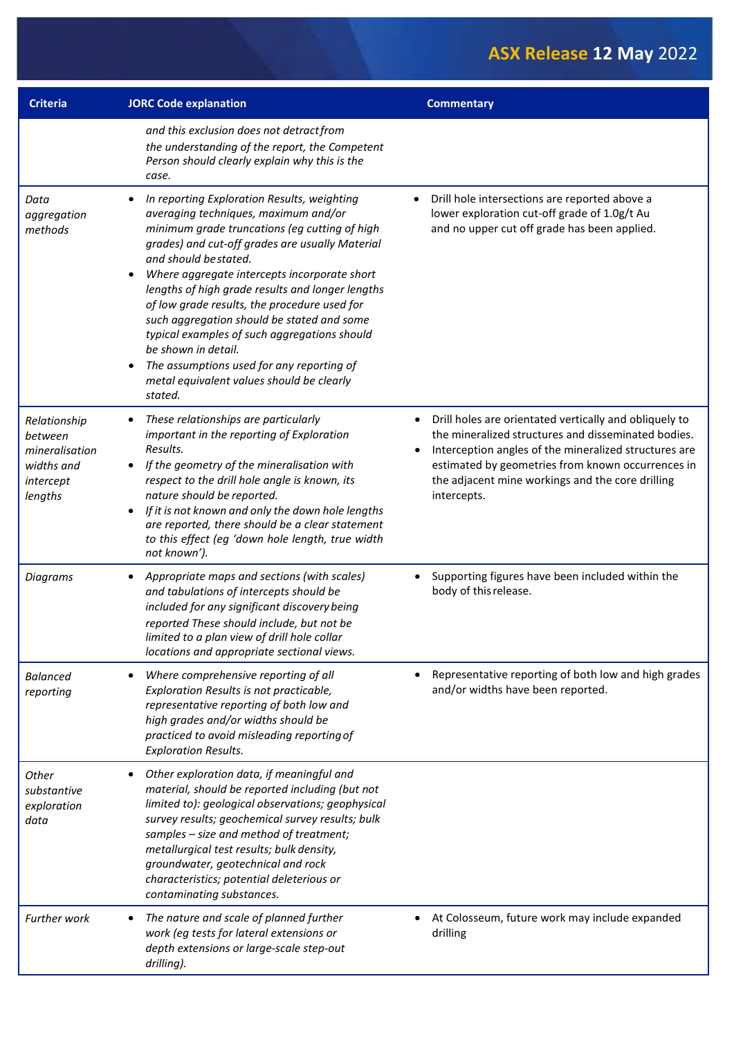| <b>Criteria</b>                                                                 | <b>JORC Code explanation</b>                                                                                                                                                                                                                                                                                                                                                                                                                                                                                                                                                                   | <b>Commentary</b>                                                                                                                                                                                                                                                                              |
|---------------------------------------------------------------------------------|------------------------------------------------------------------------------------------------------------------------------------------------------------------------------------------------------------------------------------------------------------------------------------------------------------------------------------------------------------------------------------------------------------------------------------------------------------------------------------------------------------------------------------------------------------------------------------------------|------------------------------------------------------------------------------------------------------------------------------------------------------------------------------------------------------------------------------------------------------------------------------------------------|
|                                                                                 | and this exclusion does not detract from<br>the understanding of the report, the Competent<br>Person should clearly explain why this is the<br>case.                                                                                                                                                                                                                                                                                                                                                                                                                                           |                                                                                                                                                                                                                                                                                                |
| Data<br>aggregation<br>methods                                                  | In reporting Exploration Results, weighting<br>averaging techniques, maximum and/or<br>minimum grade truncations (eg cutting of high<br>grades) and cut-off grades are usually Material<br>and should be stated.<br>Where aggregate intercepts incorporate short<br>lengths of high grade results and longer lengths<br>of low grade results, the procedure used for<br>such aggregation should be stated and some<br>typical examples of such aggregations should<br>be shown in detail.<br>The assumptions used for any reporting of<br>metal equivalent values should be clearly<br>stated. | Drill hole intersections are reported above a<br>lower exploration cut-off grade of 1.0g/t Au<br>and no upper cut off grade has been applied.                                                                                                                                                  |
| Relationship<br>between<br>mineralisation<br>widths and<br>intercept<br>lengths | These relationships are particularly<br>important in the reporting of Exploration<br>Results.<br>If the geometry of the mineralisation with<br>$\bullet$<br>respect to the drill hole angle is known, its<br>nature should be reported.<br>If it is not known and only the down hole lengths<br>$\bullet$<br>are reported, there should be a clear statement<br>to this effect (eg 'down hole length, true width<br>not known').                                                                                                                                                               | Drill holes are orientated vertically and obliquely to<br>the mineralized structures and disseminated bodies.<br>Interception angles of the mineralized structures are<br>estimated by geometries from known occurrences in<br>the adjacent mine workings and the core drilling<br>intercepts. |
| <b>Diagrams</b>                                                                 | Appropriate maps and sections (with scales)<br>٠<br>and tabulations of intercepts should be<br>included for any significant discovery being<br>reported These should include, but not be<br>limited to a plan view of drill hole collar<br>locations and appropriate sectional views.                                                                                                                                                                                                                                                                                                          | Supporting figures have been included within the<br>body of this release.                                                                                                                                                                                                                      |
| <b>Balanced</b><br>reporting                                                    | Where comprehensive reporting of all<br>Exploration Results is not practicable,<br>representative reporting of both low and<br>high grades and/or widths should be<br>practiced to avoid misleading reporting of<br><b>Exploration Results.</b>                                                                                                                                                                                                                                                                                                                                                | Representative reporting of both low and high grades<br>and/or widths have been reported.                                                                                                                                                                                                      |
| Other<br>substantive<br>exploration<br>data                                     | Other exploration data, if meaningful and<br>material, should be reported including (but not<br>limited to): geological observations; geophysical<br>survey results; geochemical survey results; bulk<br>samples - size and method of treatment;<br>metallurgical test results; bulk density,<br>groundwater, geotechnical and rock<br>characteristics; potential deleterious or<br>contaminating substances.                                                                                                                                                                                  |                                                                                                                                                                                                                                                                                                |
| <b>Further work</b>                                                             | The nature and scale of planned further<br>work (eg tests for lateral extensions or<br>depth extensions or large-scale step-out<br>drilling).                                                                                                                                                                                                                                                                                                                                                                                                                                                  | At Colosseum, future work may include expanded<br>drilling                                                                                                                                                                                                                                     |